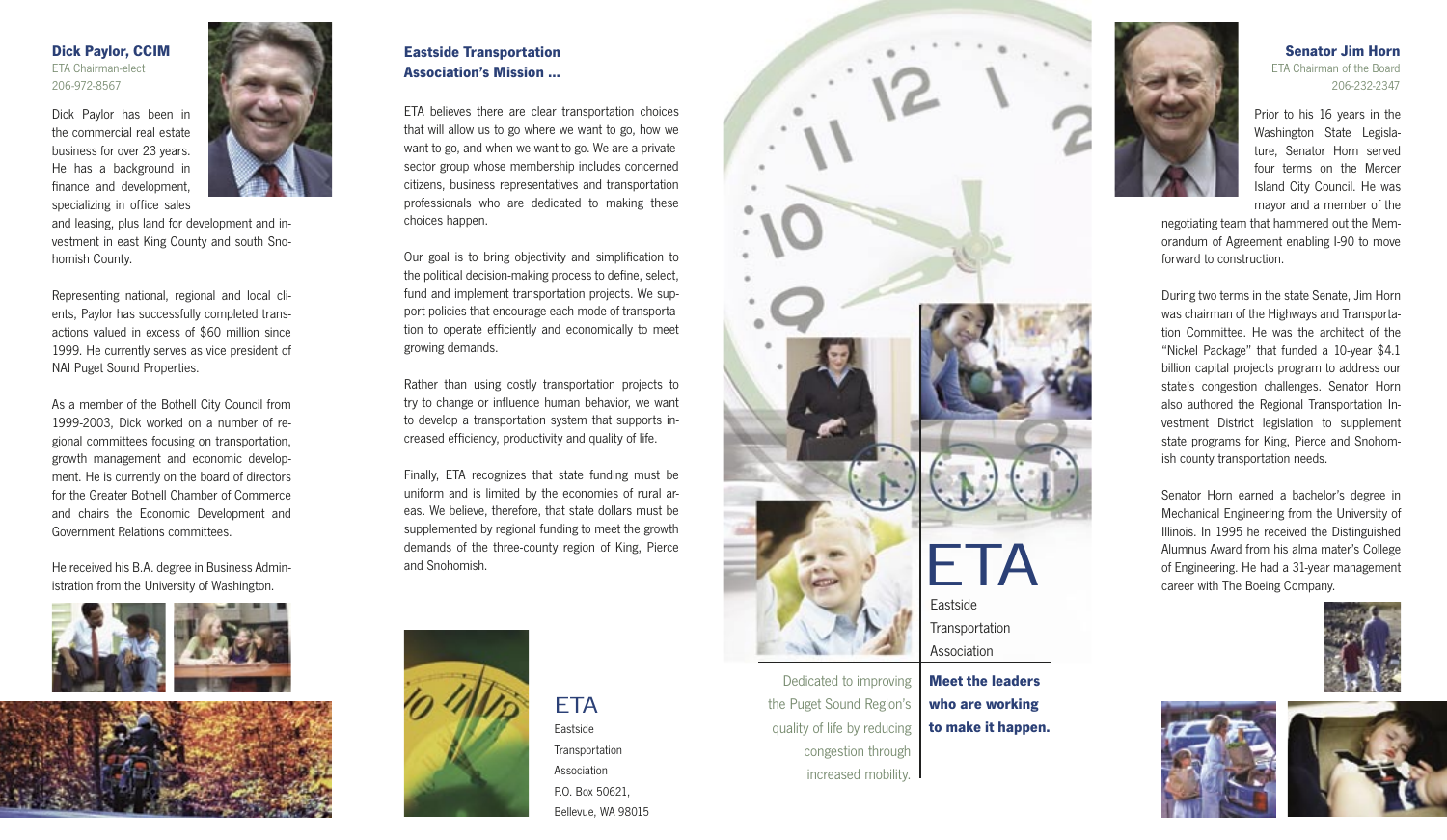### **Dick Paylor, CCIM** ETA Chairman-elect 206-972-8567

Dick Paylor has been in the commercial real estate business for over 23 years. He has a background in finance and development, specializing in office sales



and leasing, plus land for development and investment in east King County and south Snohomish County.

Representing national, regional and local clients, Paylor has successfully completed transactions valued in excess of \$60 million since 1999. He currently serves as vice president of NAI Puget Sound Properties.

As a member of the Bothell City Council from 1999-2003, Dick worked on a number of regional committees focusing on transportation, growth management and economic development. He is currently on the board of directors for the Greater Bothell Chamber of Commerce and chairs the Economic Development and Government Relations committees.

He received his B.A. degree in Business Administration from the University of Washington.





# **Eastside Transportation Association's Mission ...**

ETA believes there are clear transportation choices that will allow us to go where we want to go, how we want to go, and when we want to go. We are a privatesector group whose membership includes concerned citizens, business representatives and transportation professionals who are dedicated to making these choices happen.

Our goal is to bring objectivity and simplification to the political decision-making process to define, select, fund and implement transportation projects. We support policies that encourage each mode of transportation to operate efficiently and economically to meet growing demands.

Rather than using costly transportation projects to try to change or influence human behavior, we want to develop a transportation system that supports increased efficiency, productivity and quality of life.

Finally, ETA recognizes that state funding must be uniform and is limited by the economies of rural areas. We believe, therefore, that state dollars must be supplemented by regional funding to meet the growth demands of the three-county region of King, Pierce and Snohomish.







increased mobility.



#### **Senator Jim Horn** ETA Chairman of the Board 206-232-2347

Prior to his 16 years in the Washington State Legislature, Senator Horn served four terms on the Mercer Island City Council. He was mayor and a member of the

negotiating team that hammered out the Memorandum of Agreement enabling I-90 to move forward to construction.

During two terms in the state Senate, Jim Horn was chairman of the Highways and Transportation Committee. He was the architect of the "Nickel Package" that funded a 10-year \$4.1 billion capital projects program to address our state's congestion challenges. Senator Horn also authored the Regional Transportation Investment District legislation to supplement state programs for King, Pierce and Snohomish county transportation needs.

Senator Horn earned a bachelor's degree in Mechanical Engineering from the University of Illinois. In 1995 he received the Distinguished Alumnus Award from his alma mater's College of Engineering. He had a 31-year management career with The Boeing Company.